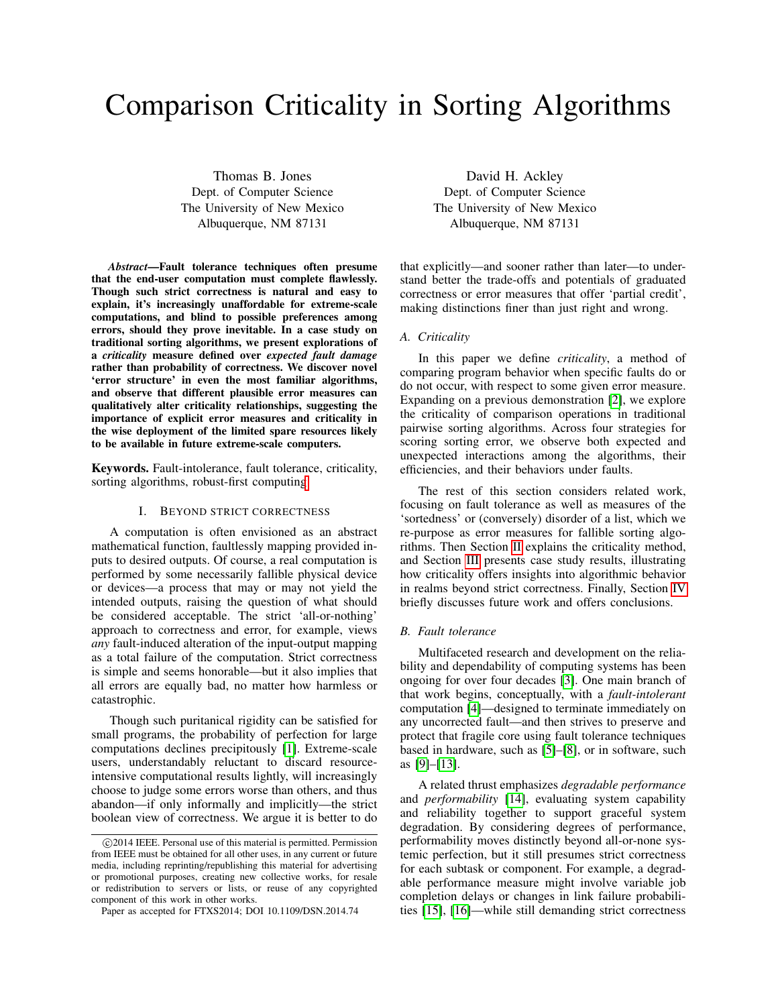# Comparison Criticality in Sorting Algorithms

Thomas B. Jones Dept. of Computer Science The University of New Mexico Albuquerque, NM 87131

*Abstract*—Fault tolerance techniques often presume that the end-user computation must complete flawlessly. Though such strict correctness is natural and easy to explain, it's increasingly unaffordable for extreme-scale computations, and blind to possible preferences among errors, should they prove inevitable. In a case study on traditional sorting algorithms, we present explorations of a *criticality* measure defined over *expected fault damage* rather than probability of correctness. We discover novel 'error structure' in even the most familiar algorithms, and observe that different plausible error measures can qualitatively alter criticality relationships, suggesting the importance of explicit error measures and criticality in the wise deployment of the limited spare resources likely to be available in future extreme-scale computers.

Keywords. Fault-intolerance, fault tolerance, criticality, sorting algorithms, robust-first computin[g](#page-0-0)

#### I. BEYOND STRICT CORRECTNESS

A computation is often envisioned as an abstract mathematical function, faultlessly mapping provided inputs to desired outputs. Of course, a real computation is performed by some necessarily fallible physical device or devices—a process that may or may not yield the intended outputs, raising the question of what should be considered acceptable. The strict 'all-or-nothing' approach to correctness and error, for example, views *any* fault-induced alteration of the input-output mapping as a total failure of the computation. Strict correctness is simple and seems honorable—but it also implies that all errors are equally bad, no matter how harmless or catastrophic.

Though such puritanical rigidity can be satisfied for small programs, the probability of perfection for large computations declines precipitously [\[1\]](#page-5-0). Extreme-scale users, understandably reluctant to discard resourceintensive computational results lightly, will increasingly choose to judge some errors worse than others, and thus abandon—if only informally and implicitly—the strict boolean view of correctness. We argue it is better to do

David H. Ackley Dept. of Computer Science The University of New Mexico Albuquerque, NM 87131

that explicitly—and sooner rather than later—to understand better the trade-offs and potentials of graduated correctness or error measures that offer 'partial credit', making distinctions finer than just right and wrong.

## *A. Criticality*

In this paper we define *criticality*, a method of comparing program behavior when specific faults do or do not occur, with respect to some given error measure. Expanding on a previous demonstration [\[2\]](#page-5-1), we explore the criticality of comparison operations in traditional pairwise sorting algorithms. Across four strategies for scoring sorting error, we observe both expected and unexpected interactions among the algorithms, their efficiencies, and their behaviors under faults.

The rest of this section considers related work, focusing on fault tolerance as well as measures of the 'sortedness' or (conversely) disorder of a list, which we re-purpose as error measures for fallible sorting algorithms. Then Section [II](#page-1-0) explains the criticality method, and Section [III](#page-2-0) presents case study results, illustrating how criticality offers insights into algorithmic behavior in realms beyond strict correctness. Finally, Section [IV](#page-5-2) briefly discusses future work and offers conclusions.

#### *B. Fault tolerance*

Multifaceted research and development on the reliability and dependability of computing systems has been ongoing for over four decades [\[3\]](#page-5-3). One main branch of that work begins, conceptually, with a *fault-intolerant* computation [\[4\]](#page-5-4)—designed to terminate immediately on any uncorrected fault—and then strives to preserve and protect that fragile core using fault tolerance techniques based in hardware, such as [\[5\]](#page-5-5)–[\[8\]](#page-5-6), or in software, such as [\[9\]](#page-5-7)–[\[13\]](#page-5-8).

A related thrust emphasizes *degradable performance* and *performability* [\[14\]](#page-5-9), evaluating system capability and reliability together to support graceful system degradation. By considering degrees of performance, performability moves distinctly beyond all-or-none systemic perfection, but it still presumes strict correctness for each subtask or component. For example, a degradable performance measure might involve variable job completion delays or changes in link failure probabilities [\[15\]](#page-5-10), [\[16\]](#page-5-11)—while still demanding strict correctness

<span id="page-0-0"></span>c 2014 IEEE. Personal use of this material is permitted. Permission from IEEE must be obtained for all other uses, in any current or future media, including reprinting/republishing this material for advertising or promotional purposes, creating new collective works, for resale or redistribution to servers or lists, or reuse of any copyrighted component of this work in other works.

Paper as accepted for FTXS2014; DOI 10.1109/DSN.2014.74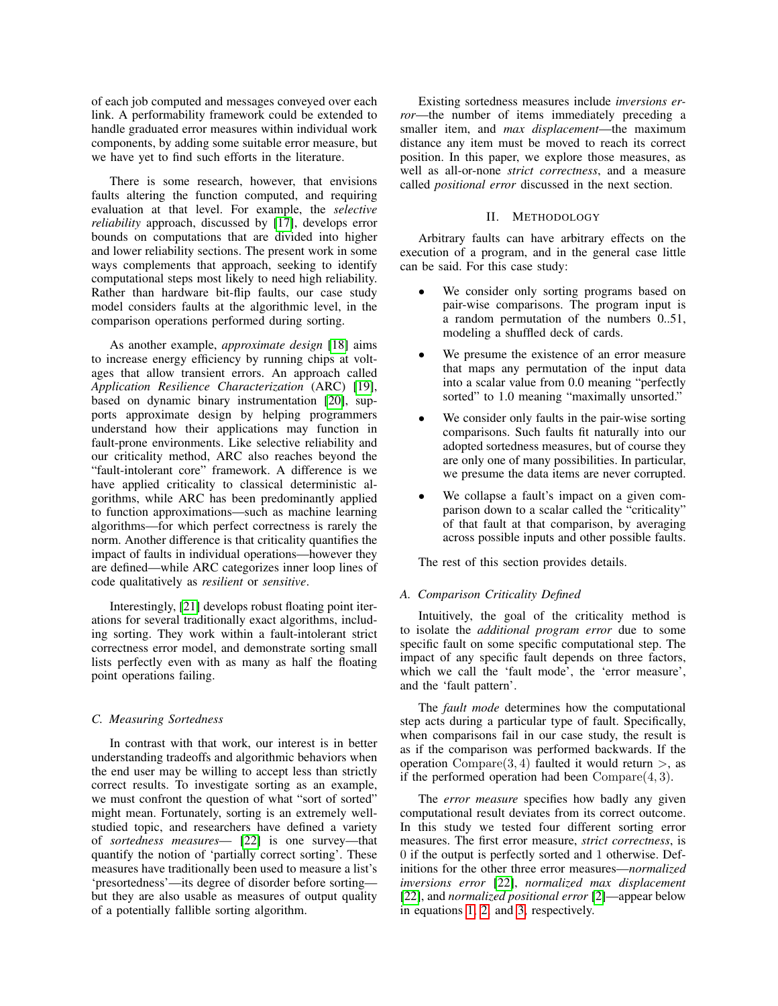of each job computed and messages conveyed over each link. A performability framework could be extended to handle graduated error measures within individual work components, by adding some suitable error measure, but we have yet to find such efforts in the literature.

There is some research, however, that envisions faults altering the function computed, and requiring evaluation at that level. For example, the *selective reliability* approach, discussed by [\[17\]](#page-5-12), develops error bounds on computations that are divided into higher and lower reliability sections. The present work in some ways complements that approach, seeking to identify computational steps most likely to need high reliability. Rather than hardware bit-flip faults, our case study model considers faults at the algorithmic level, in the comparison operations performed during sorting.

As another example, *approximate design* [\[18\]](#page-5-13) aims to increase energy efficiency by running chips at voltages that allow transient errors. An approach called *Application Resilience Characterization* (ARC) [\[19\]](#page-5-14), based on dynamic binary instrumentation [\[20\]](#page-5-15), supports approximate design by helping programmers understand how their applications may function in fault-prone environments. Like selective reliability and our criticality method, ARC also reaches beyond the "fault-intolerant core" framework. A difference is we have applied criticality to classical deterministic algorithms, while ARC has been predominantly applied to function approximations—such as machine learning algorithms—for which perfect correctness is rarely the norm. Another difference is that criticality quantifies the impact of faults in individual operations—however they are defined—while ARC categorizes inner loop lines of code qualitatively as *resilient* or *sensitive*.

Interestingly, [\[21\]](#page-5-16) develops robust floating point iterations for several traditionally exact algorithms, including sorting. They work within a fault-intolerant strict correctness error model, and demonstrate sorting small lists perfectly even with as many as half the floating point operations failing.

# *C. Measuring Sortedness*

In contrast with that work, our interest is in better understanding tradeoffs and algorithmic behaviors when the end user may be willing to accept less than strictly correct results. To investigate sorting as an example, we must confront the question of what "sort of sorted" might mean. Fortunately, sorting is an extremely wellstudied topic, and researchers have defined a variety of *sortedness measures*— [\[22\]](#page-5-17) is one survey—that quantify the notion of 'partially correct sorting'. These measures have traditionally been used to measure a list's 'presortedness'—its degree of disorder before sorting but they are also usable as measures of output quality of a potentially fallible sorting algorithm.

Existing sortedness measures include *inversions error*—the number of items immediately preceding a smaller item, and *max displacement*—the maximum distance any item must be moved to reach its correct position. In this paper, we explore those measures, as well as all-or-none *strict correctness*, and a measure called *positional error* discussed in the next section.

### II. METHODOLOGY

<span id="page-1-0"></span>Arbitrary faults can have arbitrary effects on the execution of a program, and in the general case little can be said. For this case study:

- We consider only sorting programs based on pair-wise comparisons. The program input is a random permutation of the numbers 0..51, modeling a shuffled deck of cards.
- We presume the existence of an error measure that maps any permutation of the input data into a scalar value from 0.0 meaning "perfectly sorted" to 1.0 meaning "maximally unsorted."
- We consider only faults in the pair-wise sorting comparisons. Such faults fit naturally into our adopted sortedness measures, but of course they are only one of many possibilities. In particular, we presume the data items are never corrupted.
- We collapse a fault's impact on a given comparison down to a scalar called the "criticality" of that fault at that comparison, by averaging across possible inputs and other possible faults.

The rest of this section provides details.

## <span id="page-1-1"></span>*A. Comparison Criticality Defined*

Intuitively, the goal of the criticality method is to isolate the *additional program error* due to some specific fault on some specific computational step. The impact of any specific fault depends on three factors, which we call the 'fault mode', the 'error measure', and the 'fault pattern'.

The *fault mode* determines how the computational step acts during a particular type of fault. Specifically, when comparisons fail in our case study, the result is as if the comparison was performed backwards. If the operation  $Compare(3, 4)$  faulted it would return  $>$ , as if the performed operation had been  $Compare(4, 3)$ .

The *error measure* specifies how badly any given computational result deviates from its correct outcome. In this study we tested four different sorting error measures. The first error measure, *strict correctness*, is 0 if the output is perfectly sorted and 1 otherwise. Definitions for the other three error measures—*normalized inversions error* [\[22\]](#page-5-17), *normalized max displacement* [\[22\]](#page-5-17), and *normalized positional error* [\[2\]](#page-5-1)—appear below in equations [1,](#page-2-1) [2,](#page-2-2) and [3,](#page-2-3) respectively.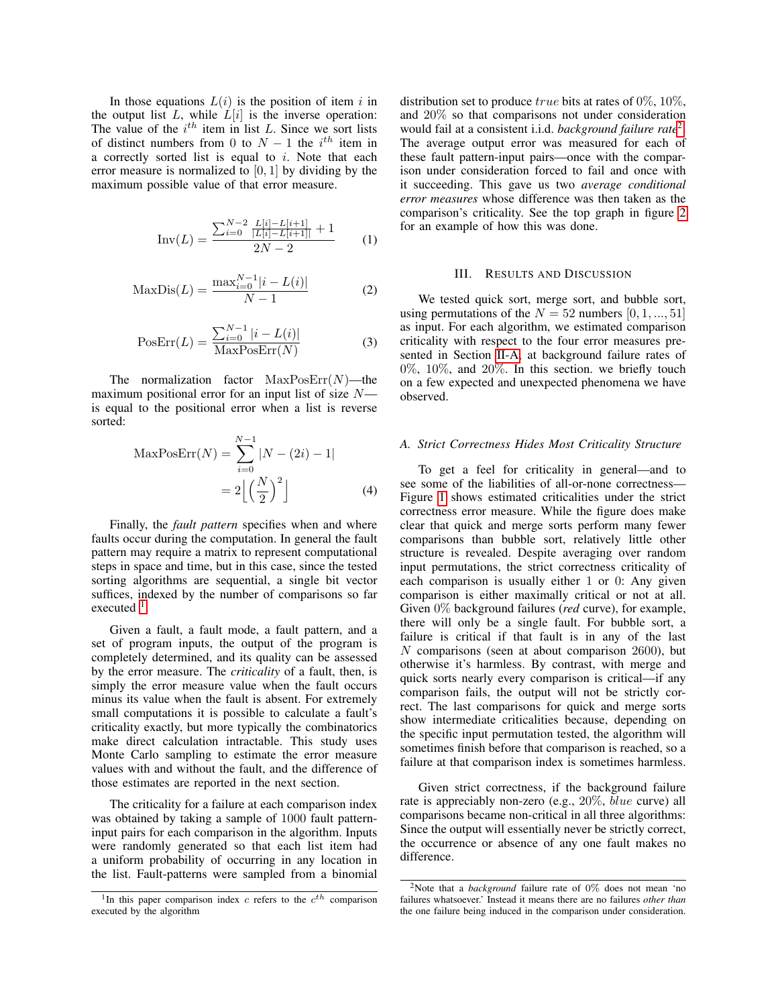In those equations  $L(i)$  is the position of item i in the output list  $L$ , while  $L[i]$  is the inverse operation: The value of the  $i^{th}$  item in list L. Since we sort lists of distinct numbers from 0 to  $N-1$  the  $i^{th}$  item in a correctly sorted list is equal to  $i$ . Note that each error measure is normalized to  $[0, 1]$  by dividing by the maximum possible value of that error measure.

$$
Inv(L) = \frac{\sum_{i=0}^{N-2} \frac{L[i]-L[i+1]}{|L[i]-L[i+1]|} + 1}{2N-2}
$$
 (1)

$$
\text{MaxDis}(L) = \frac{\max_{i=0}^{N-1} |i - L(i)|}{N-1} \tag{2}
$$

$$
\text{PosErr}(L) = \frac{\sum_{i=0}^{N-1} |i - L(i)|}{\text{MaxPosErr}(N)}\tag{3}
$$

The normalization factor  $MaxPosErr(N)$ —the maximum positional error for an input list of size  $N$ is equal to the positional error when a list is reverse sorted:

$$
\begin{aligned} \text{MaxPosErr}(N) &= \sum_{i=0}^{N-1} |N - (2i) - 1| \\ &= 2 \left[ \left( \frac{N}{2} \right)^2 \right] \end{aligned} \tag{4}
$$

Finally, the *fault pattern* specifies when and where faults occur during the computation. In general the fault pattern may require a matrix to represent computational steps in space and time, but in this case, since the tested sorting algorithms are sequential, a single bit vector suffices, indexed by the number of comparisons so far executed  $<sup>1</sup>$  $<sup>1</sup>$  $<sup>1</sup>$ .</sup>

Given a fault, a fault mode, a fault pattern, and a set of program inputs, the output of the program is completely determined, and its quality can be assessed by the error measure. The *criticality* of a fault, then, is simply the error measure value when the fault occurs minus its value when the fault is absent. For extremely small computations it is possible to calculate a fault's criticality exactly, but more typically the combinatorics make direct calculation intractable. This study uses Monte Carlo sampling to estimate the error measure values with and without the fault, and the difference of those estimates are reported in the next section.

The criticality for a failure at each comparison index was obtained by taking a sample of 1000 fault patterninput pairs for each comparison in the algorithm. Inputs were randomly generated so that each list item had a uniform probability of occurring in any location in the list. Fault-patterns were sampled from a binomial distribution set to produce  $true$  bits at rates of 0%, 10%, and 20% so that comparisons not under consideration would fail at a consistent i.i.d. *background failure rate*[2](#page-2-4) . The average output error was measured for each of these fault pattern-input pairs—once with the comparison under consideration forced to fail and once with it succeeding. This gave us two *average conditional error measures* whose difference was then taken as the comparison's criticality. See the top graph in figure [2](#page-3-0) for an example of how this was done.

#### III. RESULTS AND DISCUSSION

<span id="page-2-3"></span><span id="page-2-2"></span><span id="page-2-1"></span><span id="page-2-0"></span>We tested quick sort, merge sort, and bubble sort, using permutations of the  $N = 52$  numbers  $[0, 1, ..., 51]$ as input. For each algorithm, we estimated comparison criticality with respect to the four error measures presented in Section [II-A,](#page-1-1) at background failure rates of 0%, 10%, and 20%. In this section. we briefly touch on a few expected and unexpected phenomena we have observed.

#### *A. Strict Correctness Hides Most Criticality Structure*

To get a feel for criticality in general—and to see some of the liabilities of all-or-none correctness— Figure [1](#page-3-1) shows estimated criticalities under the strict correctness error measure. While the figure does make clear that quick and merge sorts perform many fewer comparisons than bubble sort, relatively little other structure is revealed. Despite averaging over random input permutations, the strict correctness criticality of each comparison is usually either 1 or 0: Any given comparison is either maximally critical or not at all. Given 0% background failures (*red* curve), for example, there will only be a single fault. For bubble sort, a failure is critical if that fault is in any of the last  $N$  comparisons (seen at about comparison 2600), but otherwise it's harmless. By contrast, with merge and quick sorts nearly every comparison is critical—if any comparison fails, the output will not be strictly correct. The last comparisons for quick and merge sorts show intermediate criticalities because, depending on the specific input permutation tested, the algorithm will sometimes finish before that comparison is reached, so a failure at that comparison index is sometimes harmless.

Given strict correctness, if the background failure rate is appreciably non-zero (e.g., 20%, blue curve) all comparisons became non-critical in all three algorithms: Since the output will essentially never be strictly correct, the occurrence or absence of any one fault makes no difference.

<sup>&</sup>lt;sup>1</sup>In this paper comparison index  $c$  refers to the  $c^{th}$  comparison executed by the algorithm

<span id="page-2-4"></span><sup>2</sup>Note that a *background* failure rate of 0% does not mean 'no failures whatsoever.' Instead it means there are no failures *other than* the one failure being induced in the comparison under consideration.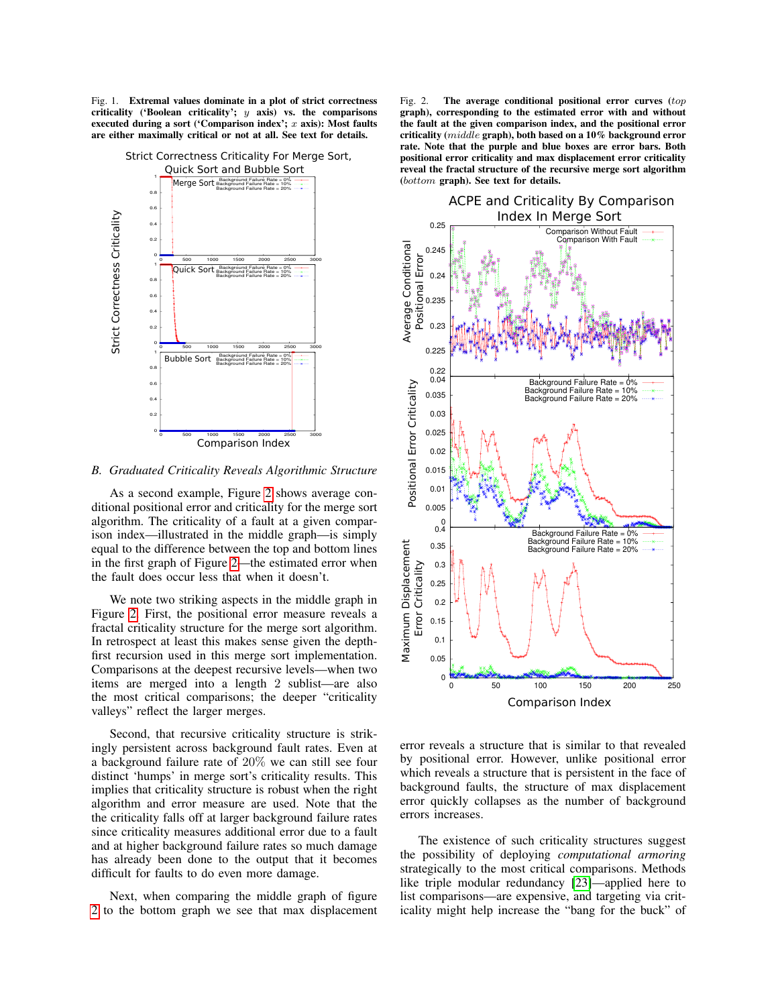<span id="page-3-1"></span>Fig. 1. Extremal values dominate in a plot of strict correctness criticality ('Boolean criticality';  $y$  axis) vs. the comparisons executed during a sort ('Comparison index';  $x$  axis): Most faults are either maximally critical or not at all. See text for details.



#### *B. Graduated Criticality Reveals Algorithmic Structure*

As a second example, Figure [2](#page-3-0) shows average conditional positional error and criticality for the merge sort algorithm. The criticality of a fault at a given comparison index—illustrated in the middle graph—is simply equal to the difference between the top and bottom lines in the first graph of Figure [2—](#page-3-0)the estimated error when the fault does occur less that when it doesn't.

We note two striking aspects in the middle graph in Figure [2.](#page-3-0) First, the positional error measure reveals a fractal criticality structure for the merge sort algorithm. In retrospect at least this makes sense given the depthfirst recursion used in this merge sort implementation. Comparisons at the deepest recursive levels—when two items are merged into a length 2 sublist—are also the most critical comparisons; the deeper "criticality valleys" reflect the larger merges.

Second, that recursive criticality structure is strikingly persistent across background fault rates. Even at a background failure rate of 20% we can still see four distinct 'humps' in merge sort's criticality results. This implies that criticality structure is robust when the right algorithm and error measure are used. Note that the the criticality falls off at larger background failure rates since criticality measures additional error due to a fault and at higher background failure rates so much damage has already been done to the output that it becomes difficult for faults to do even more damage.

Next, when comparing the middle graph of figure [2](#page-3-0) to the bottom graph we see that max displacement <span id="page-3-0"></span>Fig. 2. The average conditional positional error curves (top graph), corresponding to the estimated error with and without the fault at the given comparison index, and the positional error criticality (middle graph), both based on a 10% background error rate. Note that the purple and blue boxes are error bars. Both positional error criticality and max displacement error criticality reveal the fractal structure of the recursive merge sort algorithm (bottom graph). See text for details.



error reveals a structure that is similar to that revealed by positional error. However, unlike positional error which reveals a structure that is persistent in the face of background faults, the structure of max displacement error quickly collapses as the number of background errors increases.

The existence of such criticality structures suggest the possibility of deploying *computational armoring* strategically to the most critical comparisons. Methods like triple modular redundancy [\[23\]](#page-5-18)—applied here to list comparisons—are expensive, and targeting via criticality might help increase the "bang for the buck" of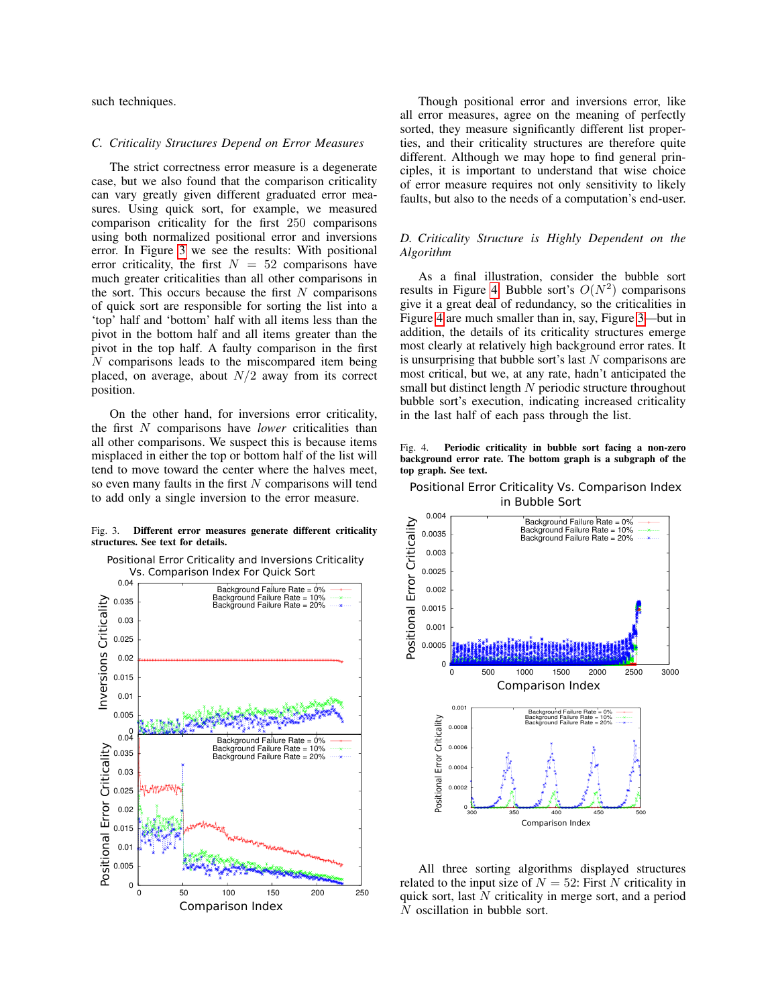such techniques.

#### *C. Criticality Structures Depend on Error Measures*

The strict correctness error measure is a degenerate case, but we also found that the comparison criticality can vary greatly given different graduated error measures. Using quick sort, for example, we measured comparison criticality for the first 250 comparisons using both normalized positional error and inversions error. In Figure [3](#page-4-0) we see the results: With positional error criticality, the first  $N = 52$  comparisons have much greater criticalities than all other comparisons in the sort. This occurs because the first  $N$  comparisons of quick sort are responsible for sorting the list into a 'top' half and 'bottom' half with all items less than the pivot in the bottom half and all items greater than the pivot in the top half. A faulty comparison in the first  $N$  comparisons leads to the miscompared item being placed, on average, about  $N/2$  away from its correct position.

On the other hand, for inversions error criticality, the first N comparisons have *lower* criticalities than all other comparisons. We suspect this is because items misplaced in either the top or bottom half of the list will tend to move toward the center where the halves meet, so even many faults in the first  $N$  comparisons will tend to add only a single inversion to the error measure.

#### <span id="page-4-0"></span>Fig. 3. Different error measures generate different criticality structures. See text for details.



Though positional error and inversions error, like all error measures, agree on the meaning of perfectly sorted, they measure significantly different list properties, and their criticality structures are therefore quite different. Although we may hope to find general principles, it is important to understand that wise choice of error measure requires not only sensitivity to likely faults, but also to the needs of a computation's end-user.

## *D. Criticality Structure is Highly Dependent on the Algorithm*

As a final illustration, consider the bubble sort results in Figure [4.](#page-4-1) Bubble sort's  $O(N^2)$  comparisons give it a great deal of redundancy, so the criticalities in Figure [4](#page-4-1) are much smaller than in, say, Figure [3—](#page-4-0)but in addition, the details of its criticality structures emerge most clearly at relatively high background error rates. It is unsurprising that bubble sort's last  $N$  comparisons are most critical, but we, at any rate, hadn't anticipated the small but distinct length  $N$  periodic structure throughout bubble sort's execution, indicating increased criticality in the last half of each pass through the list.

<span id="page-4-1"></span>Fig. 4. Periodic criticality in bubble sort facing a non-zero background error rate. The bottom graph is a subgraph of the top graph. See text.



Positional Error Criticality Vs. Comparison Index in Bubble Sort

All three sorting algorithms displayed structures related to the input size of  $N = 52$ : First N criticality in quick sort, last N criticality in merge sort, and a period N oscillation in bubble sort.